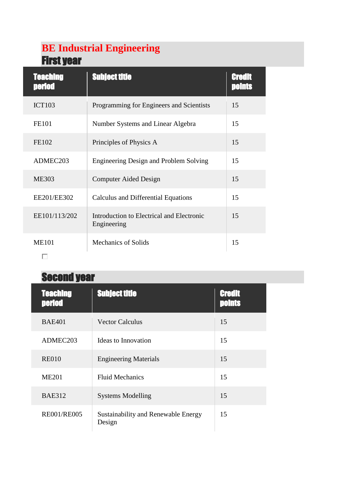## **BE Industrial Engineering** First year

| <b>Teaching</b><br><b>period</b> | <b>Subject title</b>                                     | Credit<br>noints |
|----------------------------------|----------------------------------------------------------|------------------|
| <b>ICT103</b>                    | Programming for Engineers and Scientists                 | 15               |
| <b>FE101</b>                     | Number Systems and Linear Algebra                        | 15               |
| FE102                            | Principles of Physics A                                  | 15               |
| ADMEC203                         | <b>Engineering Design and Problem Solving</b>            | 15               |
| <b>ME303</b>                     | <b>Computer Aided Design</b>                             | 15               |
| EE201/EE302                      | Calculus and Differential Equations                      | 15               |
| EE101/113/202                    | Introduction to Electrical and Electronic<br>Engineering | 15               |
| <b>ME101</b>                     | <b>Mechanics of Solids</b>                               | 15               |
|                                  |                                                          |                  |

## Second year

| <b>Teaching</b><br><b>period</b> | <b>Subject title</b>                          | <b>Credit</b><br><b>Doints</b> |
|----------------------------------|-----------------------------------------------|--------------------------------|
| <b>BAE401</b>                    | <b>Vector Calculus</b>                        | 15                             |
| ADMEC203                         | Ideas to Innovation                           | 15                             |
| <b>RE010</b>                     | <b>Engineering Materials</b>                  | 15                             |
| <b>ME201</b>                     | <b>Fluid Mechanics</b>                        | 15                             |
| <b>BAE312</b>                    | <b>Systems Modelling</b>                      | 15                             |
| <b>RE001/RE005</b>               | Sustainability and Renewable Energy<br>Design | 15                             |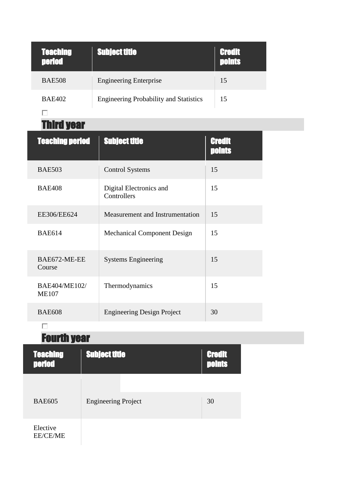| <b>Teaching</b><br><b>period</b> | <b>Subject title</b>                          | <b>Credit</b><br><b>points</b> |
|----------------------------------|-----------------------------------------------|--------------------------------|
| <b>BAE508</b>                    | <b>Engineering Enterprise</b>                 | 15                             |
| <b>BAE402</b>                    | <b>Engineering Probability and Statistics</b> | 15                             |
|                                  |                                               |                                |

Third year

| <b>Teaching period</b>        | <b>Subject title</b>                   | Credit<br>points |
|-------------------------------|----------------------------------------|------------------|
| <b>BAE503</b>                 | <b>Control Systems</b>                 | 15               |
| <b>BAE408</b>                 | Digital Electronics and<br>Controllers | 15               |
| EE306/EE624                   | Measurement and Instrumentation        | 15               |
| <b>BAE614</b>                 | <b>Mechanical Component Design</b>     | 15               |
| BAE672-ME-EE<br>Course        | <b>Systems Engineering</b>             | 15               |
| BAE404/ME102/<br><b>ME107</b> | Thermodynamics                         | 15               |
| <b>BAE608</b>                 | <b>Engineering Design Project</b>      | 30               |

## $\Box$

## Fourth year

| <b>Teaching</b><br><b>period</b> | <b>Subject title</b>       | <b>Credit</b><br><b>Doints</b> |
|----------------------------------|----------------------------|--------------------------------|
| <b>BAE605</b>                    | <b>Engineering Project</b> | 30                             |
| Elective<br><b>EE/CE/ME</b>      |                            |                                |